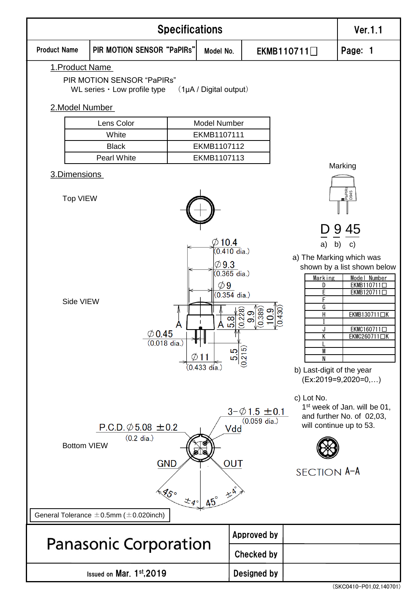

(SKC0410-P01,02,140701)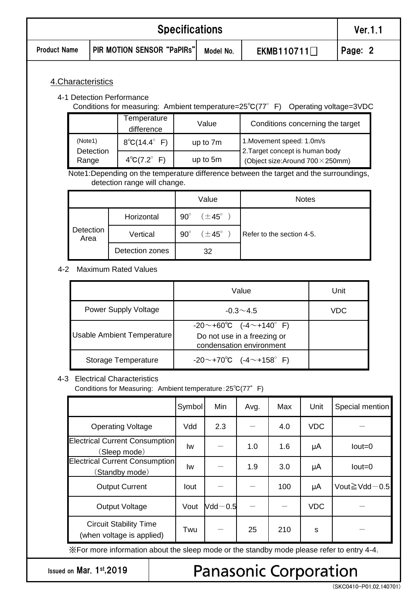| <b>Specifications</b> |                            |                                                                                                                        |                                                                                           |                    |                                                                     |                                  | Ver. 1.1   |                           |  |  |
|-----------------------|----------------------------|------------------------------------------------------------------------------------------------------------------------|-------------------------------------------------------------------------------------------|--------------------|---------------------------------------------------------------------|----------------------------------|------------|---------------------------|--|--|
| <b>Product Name</b>   | PIR MOTION SENSOR "PaPIRs" |                                                                                                                        |                                                                                           | Model No.          |                                                                     | EKMB110711                       |            | Page: 2                   |  |  |
|                       | 4. Characteristics         | 4-1 Detection Performance<br>Conditions for measuring: Ambient temperature=25°C(77° F) Operating voltage=3VDC          |                                                                                           |                    |                                                                     |                                  |            |                           |  |  |
|                       |                            | Temperature<br>difference                                                                                              |                                                                                           | Value              |                                                                     | Conditions concerning the target |            |                           |  |  |
|                       | (Note1)                    | $8^{\circ}C(14.4^{\circ} F)$                                                                                           |                                                                                           | up to 7m           | 1. Movement speed: 1.0m/s                                           |                                  |            |                           |  |  |
|                       | Detection<br>Range         | $4^{\circ}C(7.2^{\circ} F)$                                                                                            | up to 5m                                                                                  |                    | 2. Target concept is human body<br>(Object size:Around 700 × 250mm) |                                  |            |                           |  |  |
|                       |                            | Note1:Depending on the temperature difference between the target and the surroundings,<br>detection range will change. |                                                                                           |                    |                                                                     |                                  |            |                           |  |  |
|                       |                            |                                                                                                                        |                                                                                           | Value              | <b>Notes</b>                                                        |                                  |            |                           |  |  |
|                       |                            | Horizontal                                                                                                             | $90^\circ$                                                                                | $(\pm 45^{\circ})$ |                                                                     |                                  |            |                           |  |  |
|                       | Detection                  | Area                                                                                                                   |                                                                                           | Vertical           | $90^\circ$                                                          | $(\pm 45^{\circ})$               |            | Refer to the section 4-5. |  |  |
|                       |                            | Detection zones                                                                                                        |                                                                                           | 32                 |                                                                     |                                  |            |                           |  |  |
| $4 - 2$               |                            | <b>Maximum Rated Values</b>                                                                                            |                                                                                           |                    |                                                                     |                                  |            |                           |  |  |
|                       |                            |                                                                                                                        |                                                                                           |                    | Value                                                               |                                  |            | Unit                      |  |  |
|                       | Power Supply Voltage       |                                                                                                                        | $-0.3 - 4.5$                                                                              |                    |                                                                     |                                  | <b>VDC</b> |                           |  |  |
|                       |                            | <b>Usable Ambient Temperature</b>                                                                                      | $-20$ ~ +60°C $(-4$ ~ +140° F)<br>Do not use in a freezing or<br>condensation environment |                    |                                                                     |                                  |            |                           |  |  |
|                       |                            | Storage Temperature                                                                                                    | $-20$ ~+70°C $(-4$ ~+158° F)                                                              |                    |                                                                     |                                  |            |                           |  |  |
|                       |                            | 4-3 Electrical Characteristics<br>Conditions for Measuring: Ambient temperature: 25°C(77° F)                           |                                                                                           |                    |                                                                     |                                  |            |                           |  |  |
|                       |                            |                                                                                                                        | Symbol                                                                                    | Min                | Avg.                                                                | Max                              | Unit       | Special mention           |  |  |
|                       |                            | <b>Operating Voltage</b>                                                                                               | Vdd                                                                                       | 2.3                |                                                                     | 4.0                              | <b>VDC</b> |                           |  |  |

| Output Voltage                                                                             |     | Vout $Ndd - 0.5$ |    |     | VDC      |  |  |
|--------------------------------------------------------------------------------------------|-----|------------------|----|-----|----------|--|--|
| <b>Circuit Stability Time</b><br>(when voltage is applied)                                 | Twu |                  | 25 | 210 | <b>S</b> |  |  |
| X For more information about the sleep mode or the standby mode please refer to entry 4-4. |     |                  |    |     |          |  |  |

Output Current Iout - - 100 μA Vout≧Vdd-0.5

Issued on Mar. 1st,2019

Electrical Current Consumption (Sleep mode)

Electrical Current Consumption (Standby mode)

## **Panasonic Corporation**

 $\mathsf{Iw}$  - 1.0 1.6  $\mathsf{\mu A}$  Iout=0

 $\mathsf{Iw}$   $\mathsf{I}$   $\mathsf{I}$   $\mathsf{I}$   $\mathsf{I}$   $\mathsf{I}$   $\mathsf{I}$   $\mathsf{I}$   $\mathsf{I}$   $\mathsf{I}$   $\mathsf{I}$   $\mathsf{I}$   $\mathsf{I}$   $\mathsf{I}$   $\mathsf{I}$   $\mathsf{I}$   $\mathsf{I}$   $\mathsf{I}$   $\mathsf{I}$   $\mathsf{I}$   $\mathsf{I}$   $\mathsf{I}$   $\mathsf{I}$   $\mathsf{I}$   $\mathsf$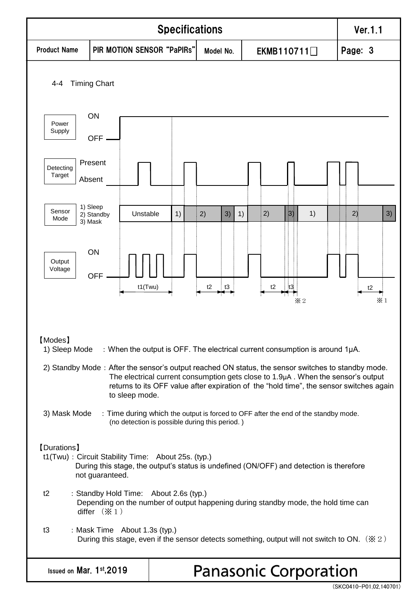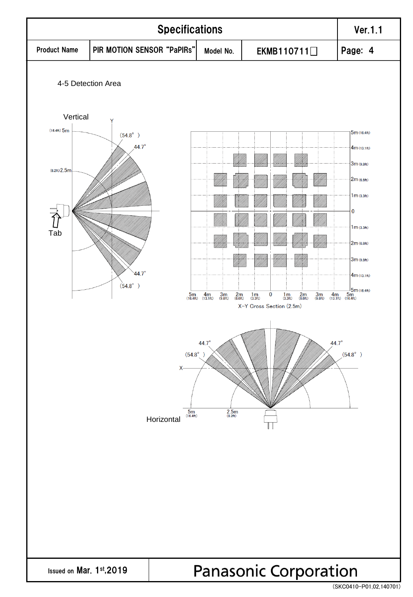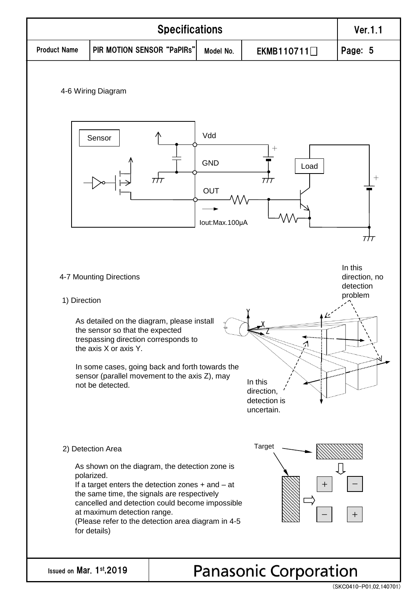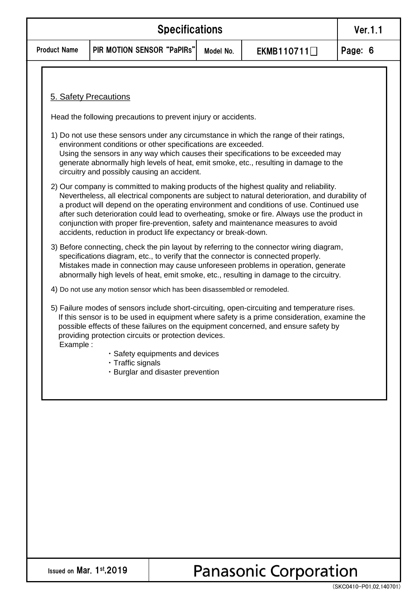|                     | Ver.1.1                                                      |  |  |  |  |
|---------------------|--------------------------------------------------------------|--|--|--|--|
| <b>Product Name</b> | PIR MOTION SENSOR "PaPIRs"<br>EKMB110711 $\Box$<br>Model No. |  |  |  |  |
|                     |                                                              |  |  |  |  |

### 5. Safety Precautions

Head the following precautions to prevent injury or accidents.

- 1) Do not use these sensors under any circumstance in which the range of their ratings, environment conditions or other specifications are exceeded. Using the sensors in any way which causes their specifications to be exceeded may generate abnormally high levels of heat, emit smoke, etc., resulting in damage to the circuitry and possibly causing an accident.
- 2) Our company is committed to making products of the highest quality and reliability. Nevertheless, all electrical components are subject to natural deterioration, and durability of a product will depend on the operating environment and conditions of use. Continued use after such deterioration could lead to overheating, smoke or fire. Always use the product in conjunction with proper fire-prevention, safety and maintenance measures to avoid accidents, reduction in product life expectancy or break-down.
- 3) Before connecting, check the pin layout by referring to the connector wiring diagram, specifications diagram, etc., to verify that the connector is connected properly. Mistakes made in connection may cause unforeseen problems in operation, generate abnormally high levels of heat, emit smoke, etc., resulting in damage to the circuitry.
- 4) Do not use any motion sensor which has been disassembled or remodeled.
- 5) Failure modes of sensors include short-circuiting, open-circuiting and temperature rises. If this sensor is to be used in equipment where safety is a prime consideration, examine the possible effects of these failures on the equipment concerned, and ensure safety by providing protection circuits or protection devices. Example :
	- ・Safety equipments and devices
	- ・Traffic signals
	- ・Burglar and disaster prevention

Issued on Mar. 1st,2019

### **Panasonic Corporation**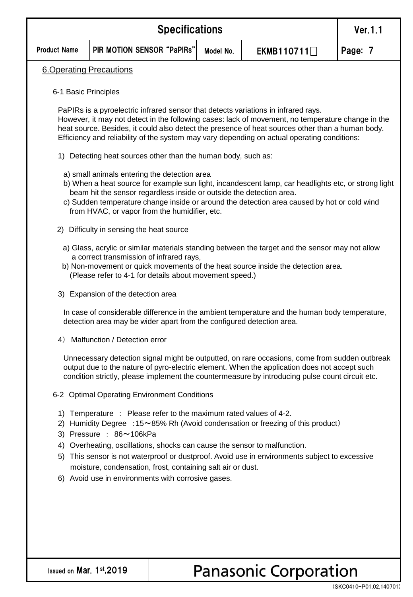|                                                                                                                                                                                                                                                                                                                                                                                            | <b>Ver.1.1</b>                                                                                                                                                                                                                                                                                                                                                              |           |            |         |  |  |  |  |
|--------------------------------------------------------------------------------------------------------------------------------------------------------------------------------------------------------------------------------------------------------------------------------------------------------------------------------------------------------------------------------------------|-----------------------------------------------------------------------------------------------------------------------------------------------------------------------------------------------------------------------------------------------------------------------------------------------------------------------------------------------------------------------------|-----------|------------|---------|--|--|--|--|
| <b>Product Name</b>                                                                                                                                                                                                                                                                                                                                                                        | PIR MOTION SENSOR "PaPIRs"                                                                                                                                                                                                                                                                                                                                                  | Model No. | EKMB110711 | Page: 7 |  |  |  |  |
| <b>6.Operating Precautions</b>                                                                                                                                                                                                                                                                                                                                                             |                                                                                                                                                                                                                                                                                                                                                                             |           |            |         |  |  |  |  |
| 6-1 Basic Principles                                                                                                                                                                                                                                                                                                                                                                       |                                                                                                                                                                                                                                                                                                                                                                             |           |            |         |  |  |  |  |
| PaPIRs is a pyroelectric infrared sensor that detects variations in infrared rays.<br>However, it may not detect in the following cases: lack of movement, no temperature change in the<br>heat source. Besides, it could also detect the presence of heat sources other than a human body.<br>Efficiency and reliability of the system may vary depending on actual operating conditions: |                                                                                                                                                                                                                                                                                                                                                                             |           |            |         |  |  |  |  |
|                                                                                                                                                                                                                                                                                                                                                                                            | 1) Detecting heat sources other than the human body, such as:                                                                                                                                                                                                                                                                                                               |           |            |         |  |  |  |  |
|                                                                                                                                                                                                                                                                                                                                                                                            | a) small animals entering the detection area<br>b) When a heat source for example sun light, incandescent lamp, car headlights etc, or strong light<br>beam hit the sensor regardless inside or outside the detection area.<br>c) Sudden temperature change inside or around the detection area caused by hot or cold wind<br>from HVAC, or vapor from the humidifier, etc. |           |            |         |  |  |  |  |
| 2)                                                                                                                                                                                                                                                                                                                                                                                         | Difficulty in sensing the heat source                                                                                                                                                                                                                                                                                                                                       |           |            |         |  |  |  |  |
|                                                                                                                                                                                                                                                                                                                                                                                            | a) Glass, acrylic or similar materials standing between the target and the sensor may not allow<br>a correct transmission of infrared rays,<br>b) Non-movement or quick movements of the heat source inside the detection area.<br>(Please refer to 4-1 for details about movement speed.)                                                                                  |           |            |         |  |  |  |  |
|                                                                                                                                                                                                                                                                                                                                                                                            | 3) Expansion of the detection area                                                                                                                                                                                                                                                                                                                                          |           |            |         |  |  |  |  |
|                                                                                                                                                                                                                                                                                                                                                                                            | In case of considerable difference in the ambient temperature and the human body temperature,<br>detection area may be wider apart from the configured detection area.                                                                                                                                                                                                      |           |            |         |  |  |  |  |
| 4)                                                                                                                                                                                                                                                                                                                                                                                         | Malfunction / Detection error                                                                                                                                                                                                                                                                                                                                               |           |            |         |  |  |  |  |
|                                                                                                                                                                                                                                                                                                                                                                                            | Unnecessary detection signal might be outputted, on rare occasions, come from sudden outbreak<br>output due to the nature of pyro-electric element. When the application does not accept such<br>condition strictly, please implement the countermeasure by introducing pulse count circuit etc.                                                                            |           |            |         |  |  |  |  |
|                                                                                                                                                                                                                                                                                                                                                                                            | 6-2 Optimal Operating Environment Conditions                                                                                                                                                                                                                                                                                                                                |           |            |         |  |  |  |  |
| 1) Temperature : Please refer to the maximum rated values of 4-2.<br>2) Humidity Degree : 15~85% Rh (Avoid condensation or freezing of this product)<br>3) Pressure : 86~106kPa<br>4) Overheating, oscillations, shocks can cause the sensor to malfunction.                                                                                                                               |                                                                                                                                                                                                                                                                                                                                                                             |           |            |         |  |  |  |  |
| 5)                                                                                                                                                                                                                                                                                                                                                                                         | This sensor is not waterproof or dustproof. Avoid use in environments subject to excessive<br>moisture, condensation, frost, containing salt air or dust.                                                                                                                                                                                                                   |           |            |         |  |  |  |  |
|                                                                                                                                                                                                                                                                                                                                                                                            | 6) Avoid use in environments with corrosive gases.                                                                                                                                                                                                                                                                                                                          |           |            |         |  |  |  |  |
|                                                                                                                                                                                                                                                                                                                                                                                            |                                                                                                                                                                                                                                                                                                                                                                             |           |            |         |  |  |  |  |
|                                                                                                                                                                                                                                                                                                                                                                                            |                                                                                                                                                                                                                                                                                                                                                                             |           |            |         |  |  |  |  |
|                                                                                                                                                                                                                                                                                                                                                                                            |                                                                                                                                                                                                                                                                                                                                                                             |           |            |         |  |  |  |  |

# Panasonic Corporation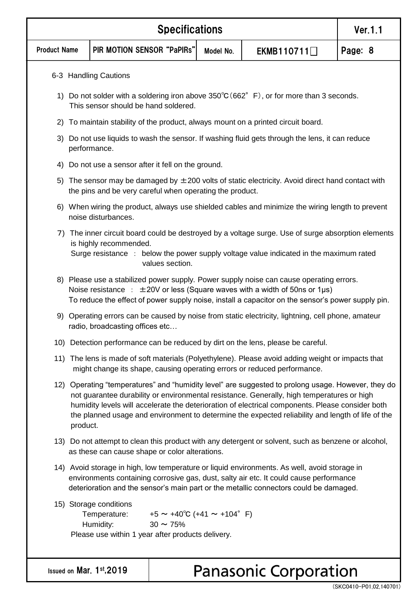|                     | <b>Specifications</b>                                                                                                                                                                                                                                                                                                                                                                                                 |                                                     |  |           |                              |         |  |  |  |
|---------------------|-----------------------------------------------------------------------------------------------------------------------------------------------------------------------------------------------------------------------------------------------------------------------------------------------------------------------------------------------------------------------------------------------------------------------|-----------------------------------------------------|--|-----------|------------------------------|---------|--|--|--|
| <b>Product Name</b> |                                                                                                                                                                                                                                                                                                                                                                                                                       | PIR MOTION SENSOR "PaPIRs"                          |  | Model No. | EKMB110711                   | Page: 8 |  |  |  |
|                     |                                                                                                                                                                                                                                                                                                                                                                                                                       | 6-3 Handling Cautions                               |  |           |                              |         |  |  |  |
|                     | 1) Do not solder with a soldering iron above $350^{\circ}C(662^{\circ}F)$ , or for more than 3 seconds.<br>This sensor should be hand soldered.                                                                                                                                                                                                                                                                       |                                                     |  |           |                              |         |  |  |  |
| 2)                  | To maintain stability of the product, always mount on a printed circuit board.                                                                                                                                                                                                                                                                                                                                        |                                                     |  |           |                              |         |  |  |  |
|                     | 3) Do not use liquids to wash the sensor. If washing fluid gets through the lens, it can reduce<br>performance.                                                                                                                                                                                                                                                                                                       |                                                     |  |           |                              |         |  |  |  |
|                     |                                                                                                                                                                                                                                                                                                                                                                                                                       | 4) Do not use a sensor after it fell on the ground. |  |           |                              |         |  |  |  |
| 5)                  | The sensor may be damaged by $\pm 200$ volts of static electricity. Avoid direct hand contact with<br>the pins and be very careful when operating the product.                                                                                                                                                                                                                                                        |                                                     |  |           |                              |         |  |  |  |
|                     | 6) When wiring the product, always use shielded cables and minimize the wiring length to prevent<br>noise disturbances.                                                                                                                                                                                                                                                                                               |                                                     |  |           |                              |         |  |  |  |
|                     | 7) The inner circuit board could be destroyed by a voltage surge. Use of surge absorption elements<br>is highly recommended.<br>Surge resistance : below the power supply voltage value indicated in the maximum rated<br>values section.                                                                                                                                                                             |                                                     |  |           |                              |         |  |  |  |
|                     | 8) Please use a stabilized power supply. Power supply noise can cause operating errors.<br>Noise resistance : $\pm 20V$ or less (Square waves with a width of 50ns or 1µs)<br>To reduce the effect of power supply noise, install a capacitor on the sensor's power supply pin.                                                                                                                                       |                                                     |  |           |                              |         |  |  |  |
|                     | 9) Operating errors can be caused by noise from static electricity, lightning, cell phone, amateur<br>radio, broadcasting offices etc                                                                                                                                                                                                                                                                                 |                                                     |  |           |                              |         |  |  |  |
|                     | 10) Detection performance can be reduced by dirt on the lens, please be careful.                                                                                                                                                                                                                                                                                                                                      |                                                     |  |           |                              |         |  |  |  |
|                     | 11) The lens is made of soft materials (Polyethylene). Please avoid adding weight or impacts that<br>might change its shape, causing operating errors or reduced performance.                                                                                                                                                                                                                                         |                                                     |  |           |                              |         |  |  |  |
|                     | 12) Operating "temperatures" and "humidity level" are suggested to prolong usage. However, they do<br>not guarantee durability or environmental resistance. Generally, high temperatures or high<br>humidity levels will accelerate the deterioration of electrical components. Please consider both<br>the planned usage and environment to determine the expected reliability and length of life of the<br>product. |                                                     |  |           |                              |         |  |  |  |
|                     | 13) Do not attempt to clean this product with any detergent or solvent, such as benzene or alcohol,<br>as these can cause shape or color alterations.                                                                                                                                                                                                                                                                 |                                                     |  |           |                              |         |  |  |  |
|                     | 14) Avoid storage in high, low temperature or liquid environments. As well, avoid storage in<br>environments containing corrosive gas, dust, salty air etc. It could cause performance<br>deterioration and the sensor's main part or the metallic connectors could be damaged.                                                                                                                                       |                                                     |  |           |                              |         |  |  |  |
|                     | 15) Storage conditions<br>$+5 \sim +40^{\circ}C (+41 \sim +104^{\circ} F)$<br>Temperature:<br>$30 \sim 75\%$<br>Humidity:<br>Please use within 1 year after products delivery.                                                                                                                                                                                                                                        |                                                     |  |           |                              |         |  |  |  |
|                     |                                                                                                                                                                                                                                                                                                                                                                                                                       | Issued on Mar. 1st, 2019                            |  |           | <b>Panasonic Corporation</b> |         |  |  |  |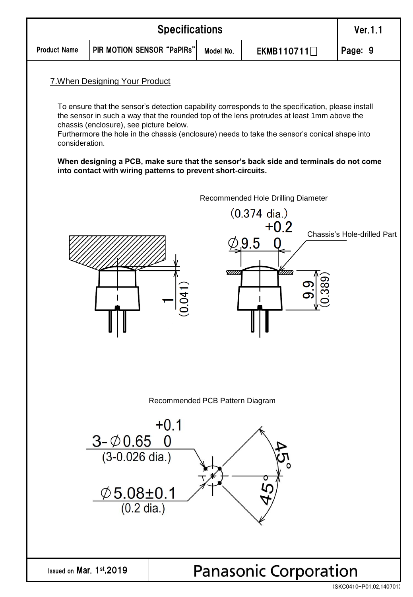

<sup>(</sup>SKC0410-P01,02,140701)